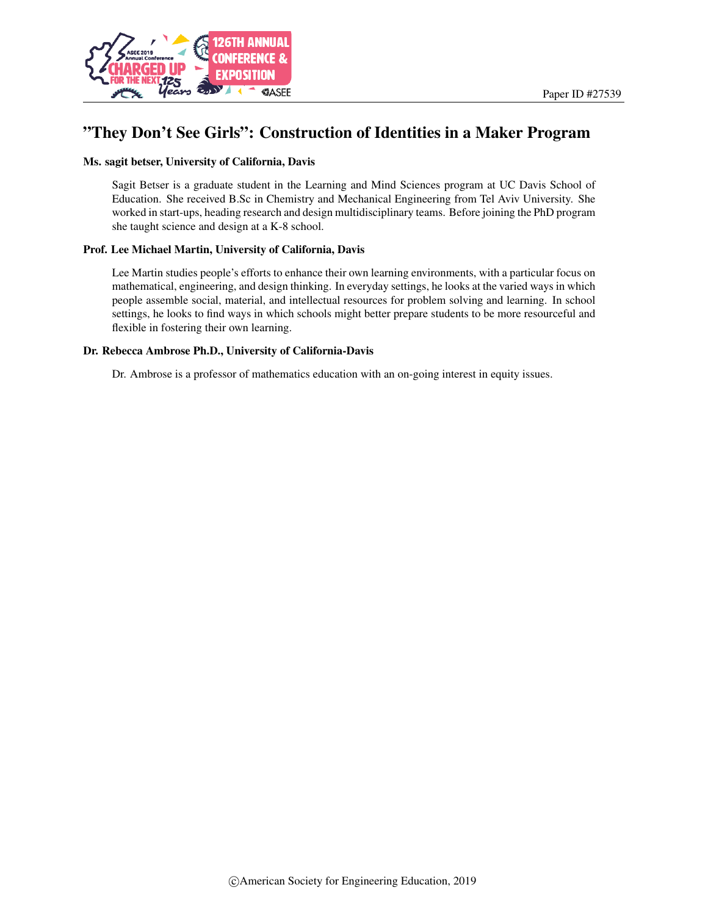

# "They Don't See Girls": Construction of Identities in a Maker Program

### Ms. sagit betser, University of California, Davis

Sagit Betser is a graduate student in the Learning and Mind Sciences program at UC Davis School of Education. She received B.Sc in Chemistry and Mechanical Engineering from Tel Aviv University. She worked in start-ups, heading research and design multidisciplinary teams. Before joining the PhD program she taught science and design at a K-8 school.

### Prof. Lee Michael Martin, University of California, Davis

Lee Martin studies people's efforts to enhance their own learning environments, with a particular focus on mathematical, engineering, and design thinking. In everyday settings, he looks at the varied ways in which people assemble social, material, and intellectual resources for problem solving and learning. In school settings, he looks to find ways in which schools might better prepare students to be more resourceful and flexible in fostering their own learning.

### Dr. Rebecca Ambrose Ph.D., University of California-Davis

Dr. Ambrose is a professor of mathematics education with an on-going interest in equity issues.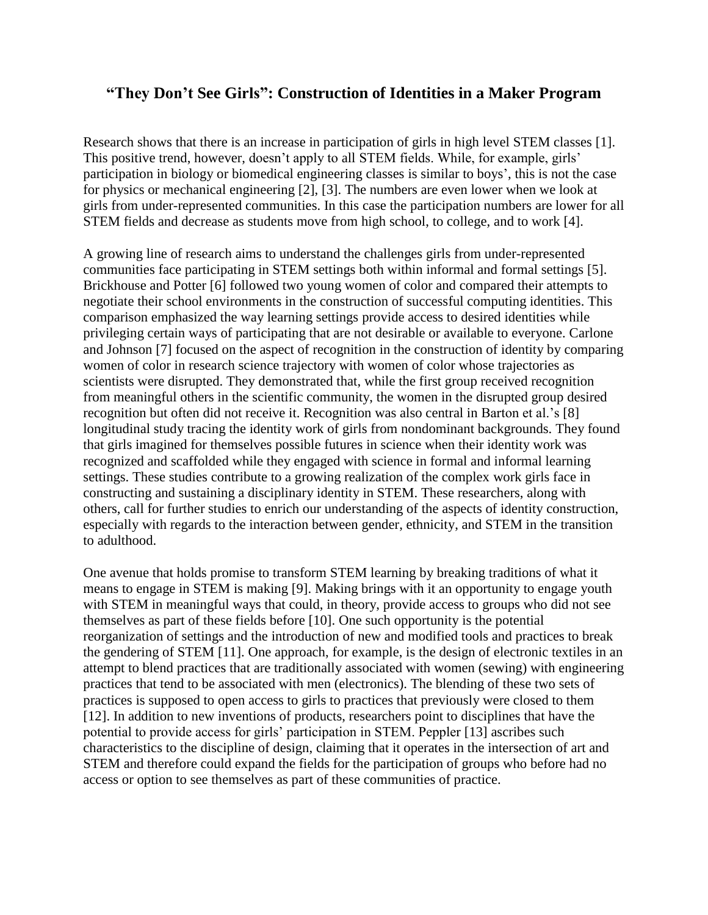# **"They Don't See Girls": Construction of Identities in a Maker Program**

Research shows that there is an increase in participation of girls in high level STEM classes [1]. This positive trend, however, doesn't apply to all STEM fields. While, for example, girls' participation in biology or biomedical engineering classes is similar to boys', this is not the case for physics or mechanical engineering [2], [3]. The numbers are even lower when we look at girls from under-represented communities. In this case the participation numbers are lower for all STEM fields and decrease as students move from high school, to college, and to work [4].

A growing line of research aims to understand the challenges girls from under-represented communities face participating in STEM settings both within informal and formal settings [5]. Brickhouse and Potter [6] followed two young women of color and compared their attempts to negotiate their school environments in the construction of successful computing identities. This comparison emphasized the way learning settings provide access to desired identities while privileging certain ways of participating that are not desirable or available to everyone. Carlone and Johnson [7] focused on the aspect of recognition in the construction of identity by comparing women of color in research science trajectory with women of color whose trajectories as scientists were disrupted. They demonstrated that, while the first group received recognition from meaningful others in the scientific community, the women in the disrupted group desired recognition but often did not receive it. Recognition was also central in Barton et al.'s [8] longitudinal study tracing the identity work of girls from nondominant backgrounds. They found that girls imagined for themselves possible futures in science when their identity work was recognized and scaffolded while they engaged with science in formal and informal learning settings. These studies contribute to a growing realization of the complex work girls face in constructing and sustaining a disciplinary identity in STEM. These researchers, along with others, call for further studies to enrich our understanding of the aspects of identity construction, especially with regards to the interaction between gender, ethnicity, and STEM in the transition to adulthood.

One avenue that holds promise to transform STEM learning by breaking traditions of what it means to engage in STEM is making [9]. Making brings with it an opportunity to engage youth with STEM in meaningful ways that could, in theory, provide access to groups who did not see themselves as part of these fields before [10]. One such opportunity is the potential reorganization of settings and the introduction of new and modified tools and practices to break the gendering of STEM [11]. One approach, for example, is the design of electronic textiles in an attempt to blend practices that are traditionally associated with women (sewing) with engineering practices that tend to be associated with men (electronics). The blending of these two sets of practices is supposed to open access to girls to practices that previously were closed to them [12]. In addition to new inventions of products, researchers point to disciplines that have the potential to provide access for girls' participation in STEM. Peppler [13] ascribes such characteristics to the discipline of design, claiming that it operates in the intersection of art and STEM and therefore could expand the fields for the participation of groups who before had no access or option to see themselves as part of these communities of practice.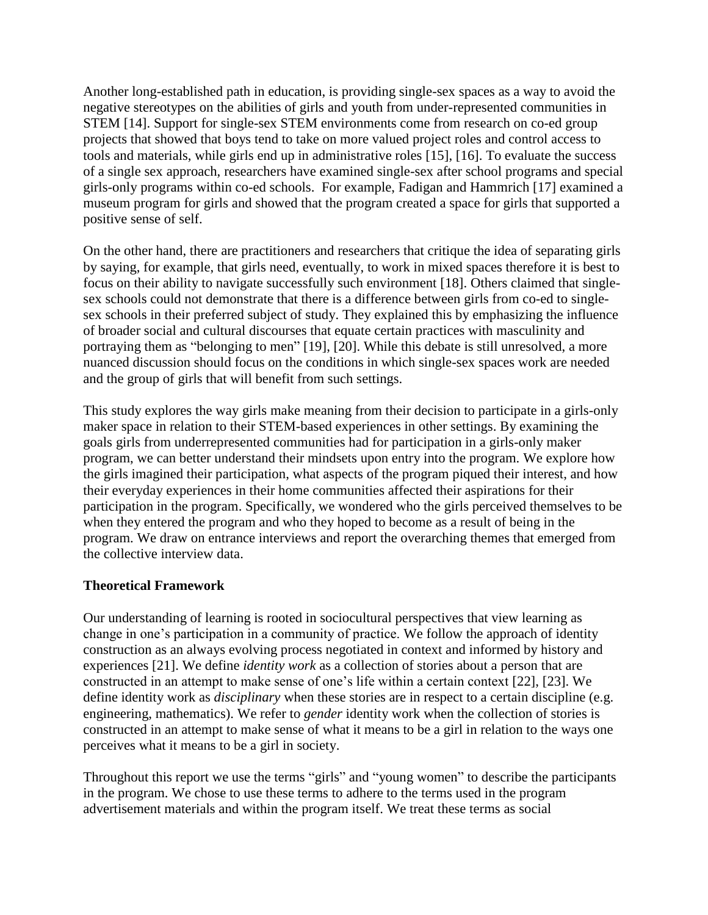Another long-established path in education, is providing single-sex spaces as a way to avoid the negative stereotypes on the abilities of girls and youth from under-represented communities in STEM [14]. Support for single-sex STEM environments come from research on co-ed group projects that showed that boys tend to take on more valued project roles and control access to tools and materials, while girls end up in administrative roles [15], [16]. To evaluate the success of a single sex approach, researchers have examined single-sex after school programs and special girls-only programs within co-ed schools. For example, Fadigan and Hammrich [17] examined a museum program for girls and showed that the program created a space for girls that supported a positive sense of self.

On the other hand, there are practitioners and researchers that critique the idea of separating girls by saying, for example, that girls need, eventually, to work in mixed spaces therefore it is best to focus on their ability to navigate successfully such environment [18]. Others claimed that singlesex schools could not demonstrate that there is a difference between girls from co-ed to singlesex schools in their preferred subject of study. They explained this by emphasizing the influence of broader social and cultural discourses that equate certain practices with masculinity and portraying them as "belonging to men" [19], [20]. While this debate is still unresolved, a more nuanced discussion should focus on the conditions in which single-sex spaces work are needed and the group of girls that will benefit from such settings.

This study explores the way girls make meaning from their decision to participate in a girls-only maker space in relation to their STEM-based experiences in other settings. By examining the goals girls from underrepresented communities had for participation in a girls-only maker program, we can better understand their mindsets upon entry into the program. We explore how the girls imagined their participation, what aspects of the program piqued their interest, and how their everyday experiences in their home communities affected their aspirations for their participation in the program. Specifically, we wondered who the girls perceived themselves to be when they entered the program and who they hoped to become as a result of being in the program. We draw on entrance interviews and report the overarching themes that emerged from the collective interview data.

# **Theoretical Framework**

Our understanding of learning is rooted in sociocultural perspectives that view learning as change in one's participation in a community of practice. We follow the approach of identity construction as an always evolving process negotiated in context and informed by history and experiences [21]. We define *identity work* as a collection of stories about a person that are constructed in an attempt to make sense of one's life within a certain context [22], [23]. We define identity work as *disciplinary* when these stories are in respect to a certain discipline (e.g. engineering, mathematics). We refer to *gender* identity work when the collection of stories is constructed in an attempt to make sense of what it means to be a girl in relation to the ways one perceives what it means to be a girl in society.

Throughout this report we use the terms "girls" and "young women" to describe the participants in the program. We chose to use these terms to adhere to the terms used in the program advertisement materials and within the program itself. We treat these terms as social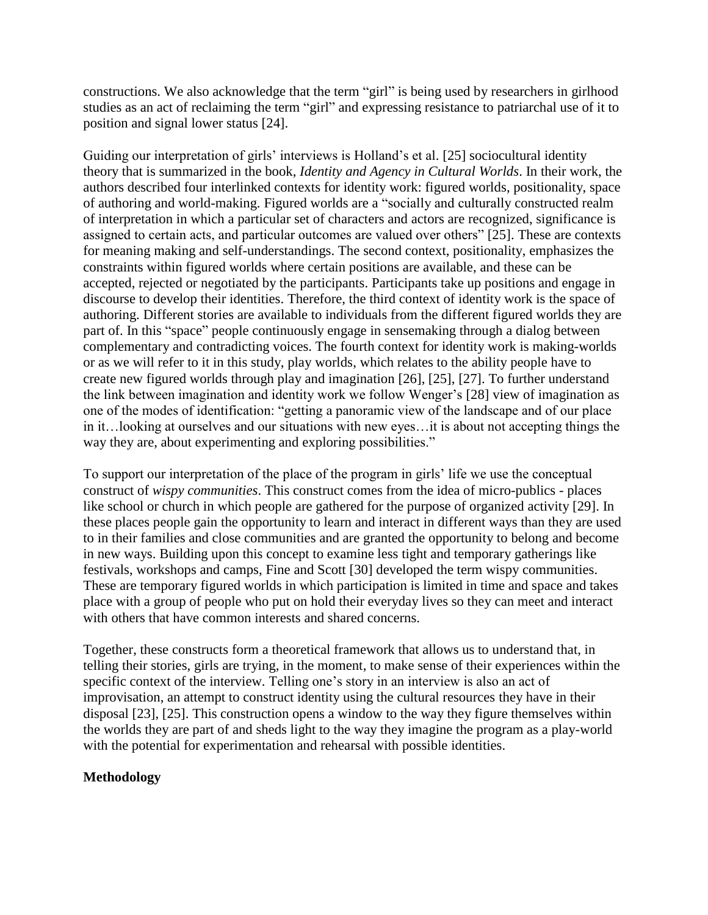constructions. We also acknowledge that the term "girl" is being used by researchers in girlhood studies as an act of reclaiming the term "girl" and expressing resistance to patriarchal use of it to position and signal lower status [24].

Guiding our interpretation of girls' interviews is Holland's et al. [25] sociocultural identity theory that is summarized in the book, *Identity and Agency in Cultural Worlds*. In their work, the authors described four interlinked contexts for identity work: figured worlds, positionality, space of authoring and world-making. Figured worlds are a "socially and culturally constructed realm of interpretation in which a particular set of characters and actors are recognized, significance is assigned to certain acts, and particular outcomes are valued over others" [25]. These are contexts for meaning making and self-understandings. The second context, positionality, emphasizes the constraints within figured worlds where certain positions are available, and these can be accepted, rejected or negotiated by the participants. Participants take up positions and engage in discourse to develop their identities. Therefore, the third context of identity work is the space of authoring. Different stories are available to individuals from the different figured worlds they are part of. In this "space" people continuously engage in sensemaking through a dialog between complementary and contradicting voices. The fourth context for identity work is making-worlds or as we will refer to it in this study, play worlds, which relates to the ability people have to create new figured worlds through play and imagination [26], [25], [27]. To further understand the link between imagination and identity work we follow Wenger's [28] view of imagination as one of the modes of identification: "getting a panoramic view of the landscape and of our place in it…looking at ourselves and our situations with new eyes…it is about not accepting things the way they are, about experimenting and exploring possibilities."

To support our interpretation of the place of the program in girls' life we use the conceptual construct of *wispy communities*. This construct comes from the idea of micro-publics - places like school or church in which people are gathered for the purpose of organized activity [29]. In these places people gain the opportunity to learn and interact in different ways than they are used to in their families and close communities and are granted the opportunity to belong and become in new ways. Building upon this concept to examine less tight and temporary gatherings like festivals, workshops and camps, Fine and Scott [30] developed the term wispy communities. These are temporary figured worlds in which participation is limited in time and space and takes place with a group of people who put on hold their everyday lives so they can meet and interact with others that have common interests and shared concerns.

Together, these constructs form a theoretical framework that allows us to understand that, in telling their stories, girls are trying, in the moment, to make sense of their experiences within the specific context of the interview. Telling one's story in an interview is also an act of improvisation, an attempt to construct identity using the cultural resources they have in their disposal [23], [25]. This construction opens a window to the way they figure themselves within the worlds they are part of and sheds light to the way they imagine the program as a play-world with the potential for experimentation and rehearsal with possible identities.

# **Methodology**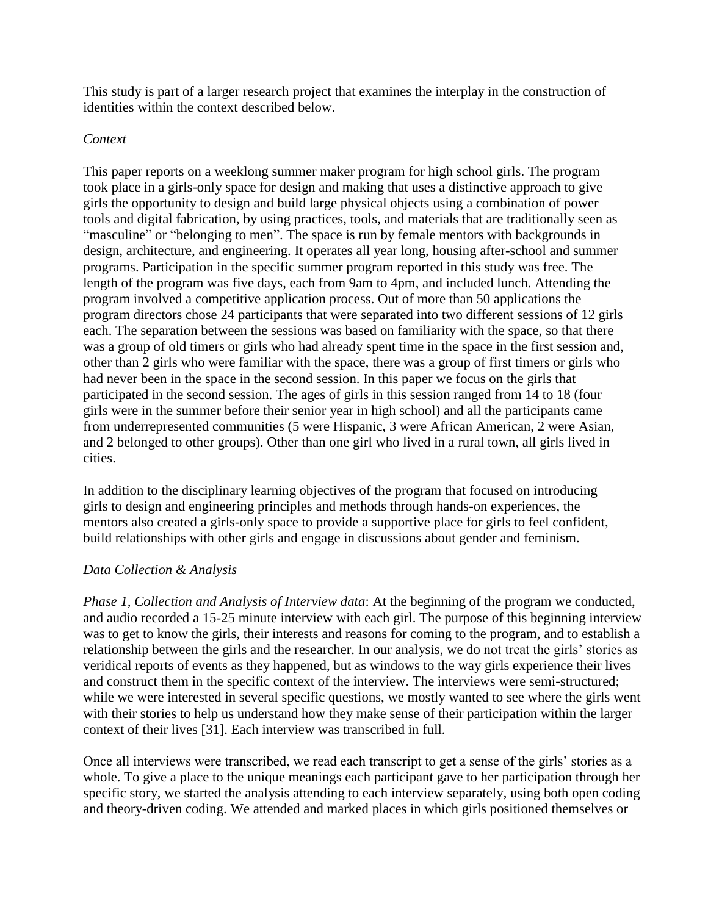This study is part of a larger research project that examines the interplay in the construction of identities within the context described below.

## *Context*

This paper reports on a weeklong summer maker program for high school girls. The program took place in a girls-only space for design and making that uses a distinctive approach to give girls the opportunity to design and build large physical objects using a combination of power tools and digital fabrication, by using practices, tools, and materials that are traditionally seen as "masculine" or "belonging to men". The space is run by female mentors with backgrounds in design, architecture, and engineering. It operates all year long, housing after-school and summer programs. Participation in the specific summer program reported in this study was free. The length of the program was five days, each from 9am to 4pm, and included lunch. Attending the program involved a competitive application process. Out of more than 50 applications the program directors chose 24 participants that were separated into two different sessions of 12 girls each. The separation between the sessions was based on familiarity with the space, so that there was a group of old timers or girls who had already spent time in the space in the first session and, other than 2 girls who were familiar with the space, there was a group of first timers or girls who had never been in the space in the second session. In this paper we focus on the girls that participated in the second session. The ages of girls in this session ranged from 14 to 18 (four girls were in the summer before their senior year in high school) and all the participants came from underrepresented communities (5 were Hispanic, 3 were African American, 2 were Asian, and 2 belonged to other groups). Other than one girl who lived in a rural town, all girls lived in cities.

In addition to the disciplinary learning objectives of the program that focused on introducing girls to design and engineering principles and methods through hands-on experiences, the mentors also created a girls-only space to provide a supportive place for girls to feel confident, build relationships with other girls and engage in discussions about gender and feminism.

# *Data Collection & Analysis*

*Phase 1, Collection and Analysis of Interview data*: At the beginning of the program we conducted, and audio recorded a 15-25 minute interview with each girl. The purpose of this beginning interview was to get to know the girls, their interests and reasons for coming to the program, and to establish a relationship between the girls and the researcher. In our analysis, we do not treat the girls' stories as veridical reports of events as they happened, but as windows to the way girls experience their lives and construct them in the specific context of the interview. The interviews were semi-structured; while we were interested in several specific questions, we mostly wanted to see where the girls went with their stories to help us understand how they make sense of their participation within the larger context of their lives [31]. Each interview was transcribed in full.

Once all interviews were transcribed, we read each transcript to get a sense of the girls' stories as a whole. To give a place to the unique meanings each participant gave to her participation through her specific story, we started the analysis attending to each interview separately, using both open coding and theory-driven coding. We attended and marked places in which girls positioned themselves or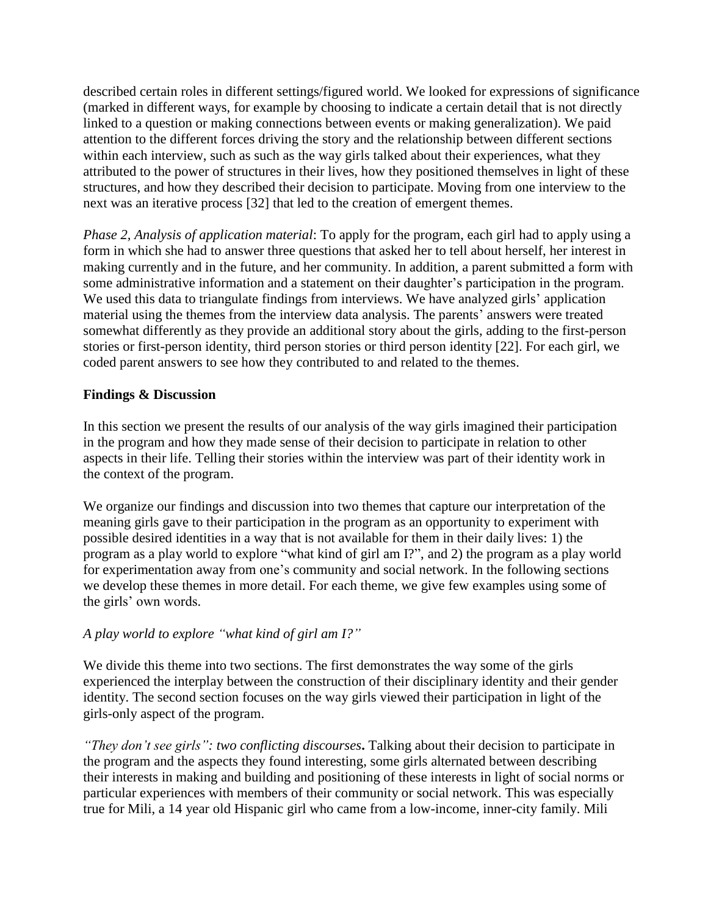described certain roles in different settings/figured world. We looked for expressions of significance (marked in different ways, for example by choosing to indicate a certain detail that is not directly linked to a question or making connections between events or making generalization). We paid attention to the different forces driving the story and the relationship between different sections within each interview, such as such as the way girls talked about their experiences, what they attributed to the power of structures in their lives, how they positioned themselves in light of these structures, and how they described their decision to participate. Moving from one interview to the next was an iterative process [32] that led to the creation of emergent themes.

*Phase 2, Analysis of application material*: To apply for the program, each girl had to apply using a form in which she had to answer three questions that asked her to tell about herself, her interest in making currently and in the future, and her community. In addition, a parent submitted a form with some administrative information and a statement on their daughter's participation in the program. We used this data to triangulate findings from interviews. We have analyzed girls' application material using the themes from the interview data analysis. The parents' answers were treated somewhat differently as they provide an additional story about the girls, adding to the first-person stories or first-person identity, third person stories or third person identity [22]. For each girl, we coded parent answers to see how they contributed to and related to the themes.

# **Findings & Discussion**

In this section we present the results of our analysis of the way girls imagined their participation in the program and how they made sense of their decision to participate in relation to other aspects in their life. Telling their stories within the interview was part of their identity work in the context of the program.

We organize our findings and discussion into two themes that capture our interpretation of the meaning girls gave to their participation in the program as an opportunity to experiment with possible desired identities in a way that is not available for them in their daily lives: 1) the program as a play world to explore "what kind of girl am I?", and 2) the program as a play world for experimentation away from one's community and social network. In the following sections we develop these themes in more detail. For each theme, we give few examples using some of the girls' own words.

# *A play world to explore "what kind of girl am I?"*

We divide this theme into two sections. The first demonstrates the way some of the girls experienced the interplay between the construction of their disciplinary identity and their gender identity. The second section focuses on the way girls viewed their participation in light of the girls-only aspect of the program.

*"They don't see girls": two conflicting discourses***.** Talking about their decision to participate in the program and the aspects they found interesting, some girls alternated between describing their interests in making and building and positioning of these interests in light of social norms or particular experiences with members of their community or social network. This was especially true for Mili, a 14 year old Hispanic girl who came from a low-income, inner-city family. Mili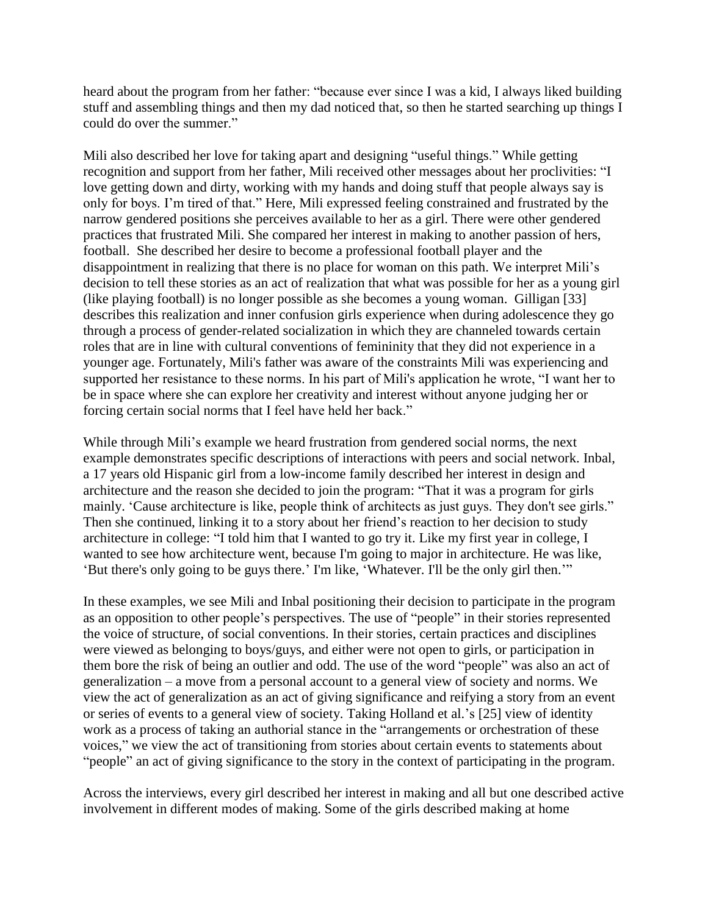heard about the program from her father: "because ever since I was a kid, I always liked building stuff and assembling things and then my dad noticed that, so then he started searching up things I could do over the summer."

Mili also described her love for taking apart and designing "useful things." While getting recognition and support from her father, Mili received other messages about her proclivities: "I love getting down and dirty, working with my hands and doing stuff that people always say is only for boys. I'm tired of that." Here, Mili expressed feeling constrained and frustrated by the narrow gendered positions she perceives available to her as a girl. There were other gendered practices that frustrated Mili. She compared her interest in making to another passion of hers, football. She described her desire to become a professional football player and the disappointment in realizing that there is no place for woman on this path. We interpret Mili's decision to tell these stories as an act of realization that what was possible for her as a young girl (like playing football) is no longer possible as she becomes a young woman. Gilligan [33] describes this realization and inner confusion girls experience when during adolescence they go through a process of gender-related socialization in which they are channeled towards certain roles that are in line with cultural conventions of femininity that they did not experience in a younger age. Fortunately, Mili's father was aware of the constraints Mili was experiencing and supported her resistance to these norms. In his part of Mili's application he wrote, "I want her to be in space where she can explore her creativity and interest without anyone judging her or forcing certain social norms that I feel have held her back."

While through Mili's example we heard frustration from gendered social norms, the next example demonstrates specific descriptions of interactions with peers and social network. Inbal, a 17 years old Hispanic girl from a low-income family described her interest in design and architecture and the reason she decided to join the program: "That it was a program for girls mainly. 'Cause architecture is like, people think of architects as just guys. They don't see girls." Then she continued, linking it to a story about her friend's reaction to her decision to study architecture in college: "I told him that I wanted to go try it. Like my first year in college, I wanted to see how architecture went, because I'm going to major in architecture. He was like, 'But there's only going to be guys there.' I'm like, 'Whatever. I'll be the only girl then.'"

In these examples, we see Mili and Inbal positioning their decision to participate in the program as an opposition to other people's perspectives. The use of "people" in their stories represented the voice of structure, of social conventions. In their stories, certain practices and disciplines were viewed as belonging to boys/guys, and either were not open to girls, or participation in them bore the risk of being an outlier and odd. The use of the word "people" was also an act of generalization – a move from a personal account to a general view of society and norms. We view the act of generalization as an act of giving significance and reifying a story from an event or series of events to a general view of society. Taking Holland et al.'s [25] view of identity work as a process of taking an authorial stance in the "arrangements or orchestration of these voices," we view the act of transitioning from stories about certain events to statements about "people" an act of giving significance to the story in the context of participating in the program.

Across the interviews, every girl described her interest in making and all but one described active involvement in different modes of making. Some of the girls described making at home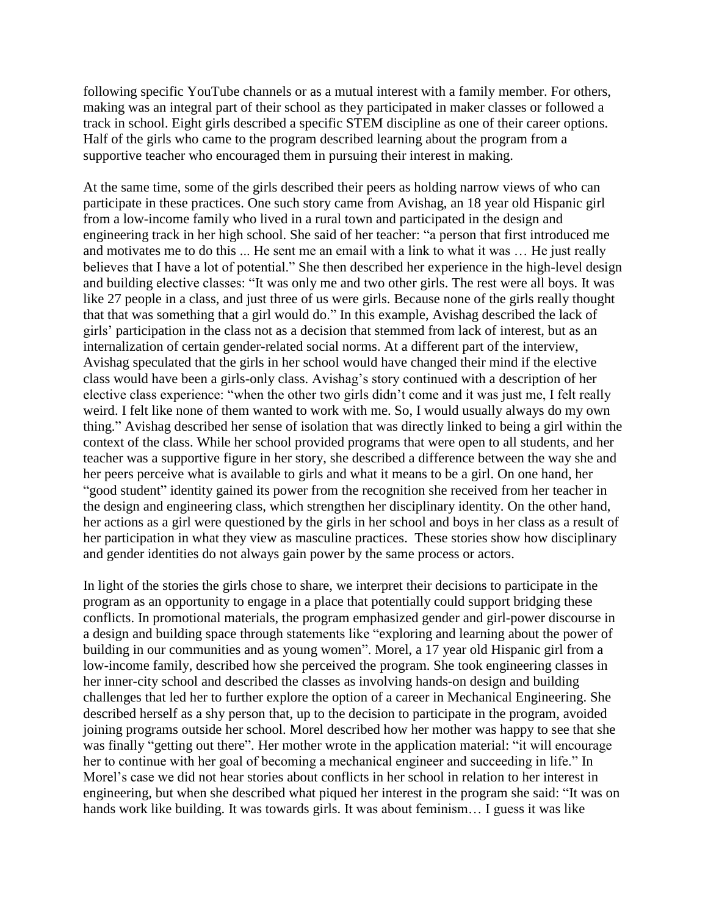following specific YouTube channels or as a mutual interest with a family member. For others, making was an integral part of their school as they participated in maker classes or followed a track in school. Eight girls described a specific STEM discipline as one of their career options. Half of the girls who came to the program described learning about the program from a supportive teacher who encouraged them in pursuing their interest in making.

At the same time, some of the girls described their peers as holding narrow views of who can participate in these practices. One such story came from Avishag, an 18 year old Hispanic girl from a low-income family who lived in a rural town and participated in the design and engineering track in her high school. She said of her teacher: "a person that first introduced me and motivates me to do this ... He sent me an email with a link to what it was … He just really believes that I have a lot of potential." She then described her experience in the high-level design and building elective classes: "It was only me and two other girls. The rest were all boys. It was like 27 people in a class, and just three of us were girls. Because none of the girls really thought that that was something that a girl would do." In this example, Avishag described the lack of girls' participation in the class not as a decision that stemmed from lack of interest, but as an internalization of certain gender-related social norms. At a different part of the interview, Avishag speculated that the girls in her school would have changed their mind if the elective class would have been a girls-only class. Avishag's story continued with a description of her elective class experience: "when the other two girls didn't come and it was just me, I felt really weird. I felt like none of them wanted to work with me. So, I would usually always do my own thing." Avishag described her sense of isolation that was directly linked to being a girl within the context of the class. While her school provided programs that were open to all students, and her teacher was a supportive figure in her story, she described a difference between the way she and her peers perceive what is available to girls and what it means to be a girl. On one hand, her "good student" identity gained its power from the recognition she received from her teacher in the design and engineering class, which strengthen her disciplinary identity. On the other hand, her actions as a girl were questioned by the girls in her school and boys in her class as a result of her participation in what they view as masculine practices. These stories show how disciplinary and gender identities do not always gain power by the same process or actors.

In light of the stories the girls chose to share, we interpret their decisions to participate in the program as an opportunity to engage in a place that potentially could support bridging these conflicts. In promotional materials, the program emphasized gender and girl-power discourse in a design and building space through statements like "exploring and learning about the power of building in our communities and as young women". Morel, a 17 year old Hispanic girl from a low-income family, described how she perceived the program. She took engineering classes in her inner-city school and described the classes as involving hands-on design and building challenges that led her to further explore the option of a career in Mechanical Engineering. She described herself as a shy person that, up to the decision to participate in the program, avoided joining programs outside her school. Morel described how her mother was happy to see that she was finally "getting out there". Her mother wrote in the application material: "it will encourage her to continue with her goal of becoming a mechanical engineer and succeeding in life." In Morel's case we did not hear stories about conflicts in her school in relation to her interest in engineering, but when she described what piqued her interest in the program she said: "It was on hands work like building. It was towards girls. It was about feminism... I guess it was like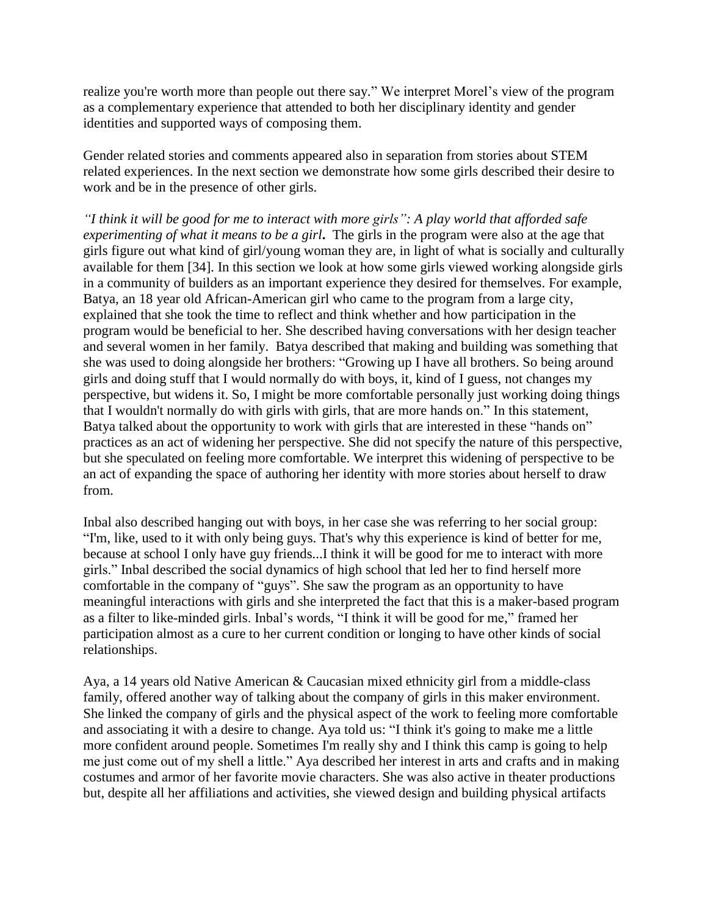realize you're worth more than people out there say." We interpret Morel's view of the program as a complementary experience that attended to both her disciplinary identity and gender identities and supported ways of composing them.

Gender related stories and comments appeared also in separation from stories about STEM related experiences. In the next section we demonstrate how some girls described their desire to work and be in the presence of other girls.

*"I think it will be good for me to interact with more girls": A play world that afforded safe experimenting of what it means to be a girl***.** The girls in the program were also at the age that girls figure out what kind of girl/young woman they are, in light of what is socially and culturally available for them [34]. In this section we look at how some girls viewed working alongside girls in a community of builders as an important experience they desired for themselves. For example, Batya, an 18 year old African-American girl who came to the program from a large city, explained that she took the time to reflect and think whether and how participation in the program would be beneficial to her. She described having conversations with her design teacher and several women in her family. Batya described that making and building was something that she was used to doing alongside her brothers: "Growing up I have all brothers. So being around girls and doing stuff that I would normally do with boys, it, kind of I guess, not changes my perspective, but widens it. So, I might be more comfortable personally just working doing things that I wouldn't normally do with girls with girls, that are more hands on." In this statement, Batya talked about the opportunity to work with girls that are interested in these "hands on" practices as an act of widening her perspective. She did not specify the nature of this perspective, but she speculated on feeling more comfortable. We interpret this widening of perspective to be an act of expanding the space of authoring her identity with more stories about herself to draw from.

Inbal also described hanging out with boys, in her case she was referring to her social group: "I'm, like, used to it with only being guys. That's why this experience is kind of better for me, because at school I only have guy friends...I think it will be good for me to interact with more girls." Inbal described the social dynamics of high school that led her to find herself more comfortable in the company of "guys". She saw the program as an opportunity to have meaningful interactions with girls and she interpreted the fact that this is a maker-based program as a filter to like-minded girls. Inbal's words, "I think it will be good for me," framed her participation almost as a cure to her current condition or longing to have other kinds of social relationships.

Aya, a 14 years old Native American & Caucasian mixed ethnicity girl from a middle-class family, offered another way of talking about the company of girls in this maker environment. She linked the company of girls and the physical aspect of the work to feeling more comfortable and associating it with a desire to change. Aya told us: "I think it's going to make me a little more confident around people. Sometimes I'm really shy and I think this camp is going to help me just come out of my shell a little." Aya described her interest in arts and crafts and in making costumes and armor of her favorite movie characters. She was also active in theater productions but, despite all her affiliations and activities, she viewed design and building physical artifacts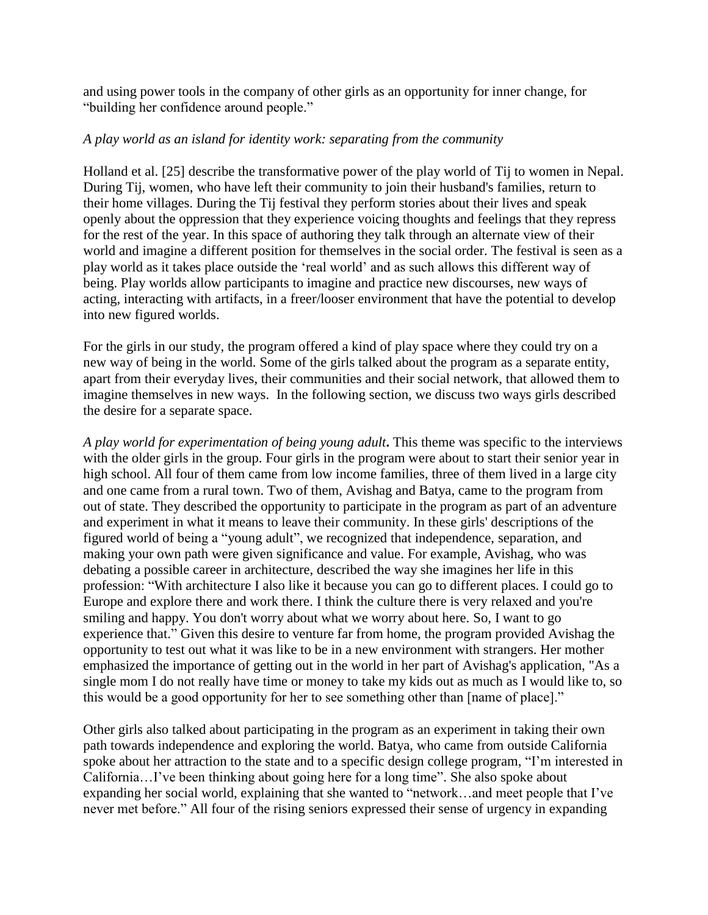and using power tools in the company of other girls as an opportunity for inner change, for "building her confidence around people."

### *A play world as an island for identity work: separating from the community*

Holland et al. [25] describe the transformative power of the play world of Tij to women in Nepal. During Tij, women, who have left their community to join their husband's families, return to their home villages. During the Tij festival they perform stories about their lives and speak openly about the oppression that they experience voicing thoughts and feelings that they repress for the rest of the year. In this space of authoring they talk through an alternate view of their world and imagine a different position for themselves in the social order. The festival is seen as a play world as it takes place outside the 'real world' and as such allows this different way of being. Play worlds allow participants to imagine and practice new discourses, new ways of acting, interacting with artifacts, in a freer/looser environment that have the potential to develop into new figured worlds.

For the girls in our study, the program offered a kind of play space where they could try on a new way of being in the world. Some of the girls talked about the program as a separate entity, apart from their everyday lives, their communities and their social network, that allowed them to imagine themselves in new ways. In the following section, we discuss two ways girls described the desire for a separate space.

*A play world for experimentation of being young adult***.** This theme was specific to the interviews with the older girls in the group. Four girls in the program were about to start their senior year in high school. All four of them came from low income families, three of them lived in a large city and one came from a rural town. Two of them, Avishag and Batya, came to the program from out of state. They described the opportunity to participate in the program as part of an adventure and experiment in what it means to leave their community. In these girls' descriptions of the figured world of being a "young adult", we recognized that independence, separation, and making your own path were given significance and value. For example, Avishag, who was debating a possible career in architecture, described the way she imagines her life in this profession: "With architecture I also like it because you can go to different places. I could go to Europe and explore there and work there. I think the culture there is very relaxed and you're smiling and happy. You don't worry about what we worry about here. So, I want to go experience that." Given this desire to venture far from home, the program provided Avishag the opportunity to test out what it was like to be in a new environment with strangers. Her mother emphasized the importance of getting out in the world in her part of Avishag's application, "As a single mom I do not really have time or money to take my kids out as much as I would like to, so this would be a good opportunity for her to see something other than [name of place]."

Other girls also talked about participating in the program as an experiment in taking their own path towards independence and exploring the world. Batya, who came from outside California spoke about her attraction to the state and to a specific design college program, "I'm interested in California…I've been thinking about going here for a long time". She also spoke about expanding her social world, explaining that she wanted to "network…and meet people that I've never met before." All four of the rising seniors expressed their sense of urgency in expanding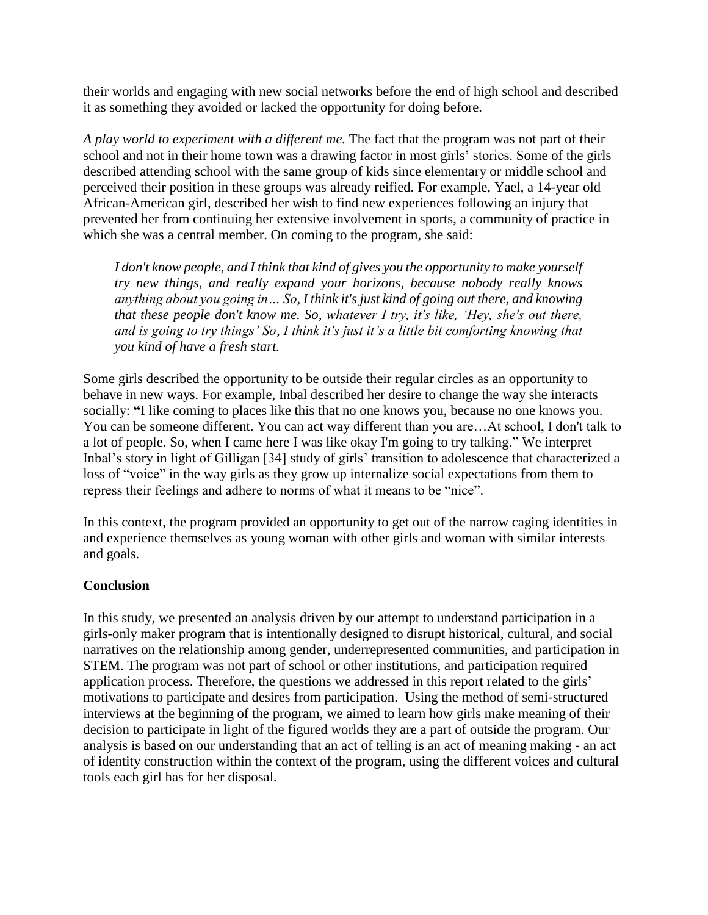their worlds and engaging with new social networks before the end of high school and described it as something they avoided or lacked the opportunity for doing before.

*A play world to experiment with a different me.* The fact that the program was not part of their school and not in their home town was a drawing factor in most girls' stories. Some of the girls described attending school with the same group of kids since elementary or middle school and perceived their position in these groups was already reified. For example, Yael, a 14-year old African-American girl, described her wish to find new experiences following an injury that prevented her from continuing her extensive involvement in sports, a community of practice in which she was a central member. On coming to the program, she said:

*I don't know people, and I think that kind of gives you the opportunity to make yourself try new things, and really expand your horizons, because nobody really knows anything about you going in… So, I think it's just kind of going out there, and knowing that these people don't know me. So, whatever I try, it's like, 'Hey, she's out there, and is going to try things' So, I think it's just it's a little bit comforting knowing that you kind of have a fresh start.*

Some girls described the opportunity to be outside their regular circles as an opportunity to behave in new ways. For example, Inbal described her desire to change the way she interacts socially: **"**I like coming to places like this that no one knows you, because no one knows you. You can be someone different. You can act way different than you are…At school, I don't talk to a lot of people. So, when I came here I was like okay I'm going to try talking." We interpret Inbal's story in light of Gilligan [34] study of girls' transition to adolescence that characterized a loss of "voice" in the way girls as they grow up internalize social expectations from them to repress their feelings and adhere to norms of what it means to be "nice".

In this context, the program provided an opportunity to get out of the narrow caging identities in and experience themselves as young woman with other girls and woman with similar interests and goals.

# **Conclusion**

In this study, we presented an analysis driven by our attempt to understand participation in a girls-only maker program that is intentionally designed to disrupt historical, cultural, and social narratives on the relationship among gender, underrepresented communities, and participation in STEM. The program was not part of school or other institutions, and participation required application process. Therefore, the questions we addressed in this report related to the girls' motivations to participate and desires from participation. Using the method of semi-structured interviews at the beginning of the program, we aimed to learn how girls make meaning of their decision to participate in light of the figured worlds they are a part of outside the program. Our analysis is based on our understanding that an act of telling is an act of meaning making - an act of identity construction within the context of the program, using the different voices and cultural tools each girl has for her disposal.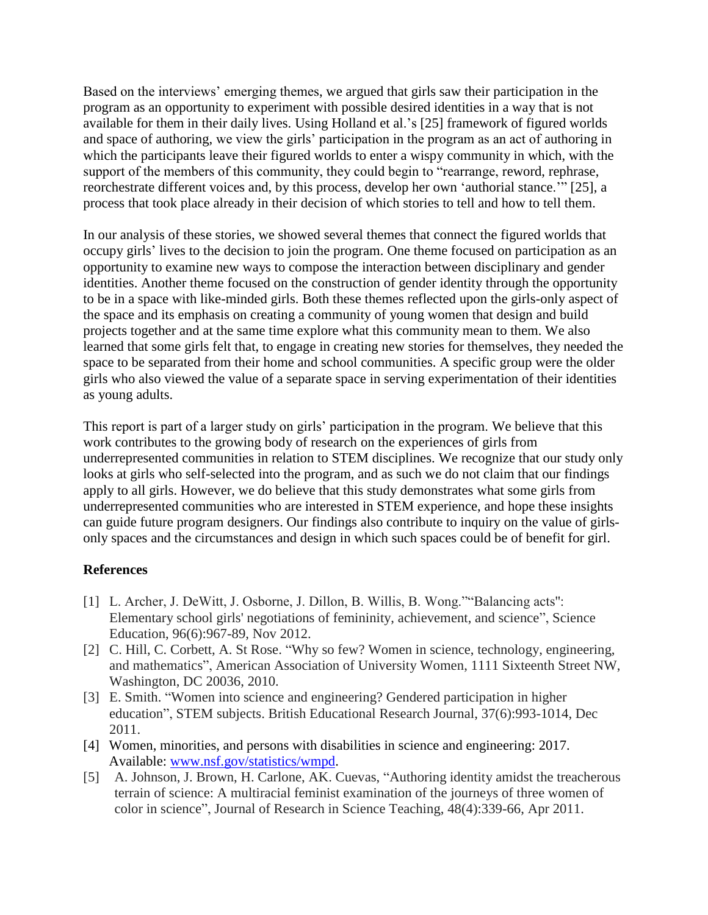Based on the interviews' emerging themes, we argued that girls saw their participation in the program as an opportunity to experiment with possible desired identities in a way that is not available for them in their daily lives. Using Holland et al.'s [25] framework of figured worlds and space of authoring, we view the girls' participation in the program as an act of authoring in which the participants leave their figured worlds to enter a wispy community in which, with the support of the members of this community, they could begin to "rearrange, reword, rephrase, reorchestrate different voices and, by this process, develop her own 'authorial stance.'" [25], a process that took place already in their decision of which stories to tell and how to tell them.

In our analysis of these stories, we showed several themes that connect the figured worlds that occupy girls' lives to the decision to join the program. One theme focused on participation as an opportunity to examine new ways to compose the interaction between disciplinary and gender identities. Another theme focused on the construction of gender identity through the opportunity to be in a space with like-minded girls. Both these themes reflected upon the girls-only aspect of the space and its emphasis on creating a community of young women that design and build projects together and at the same time explore what this community mean to them. We also learned that some girls felt that, to engage in creating new stories for themselves, they needed the space to be separated from their home and school communities. A specific group were the older girls who also viewed the value of a separate space in serving experimentation of their identities as young adults.

This report is part of a larger study on girls' participation in the program. We believe that this work contributes to the growing body of research on the experiences of girls from underrepresented communities in relation to STEM disciplines. We recognize that our study only looks at girls who self-selected into the program, and as such we do not claim that our findings apply to all girls. However, we do believe that this study demonstrates what some girls from underrepresented communities who are interested in STEM experience, and hope these insights can guide future program designers. Our findings also contribute to inquiry on the value of girlsonly spaces and the circumstances and design in which such spaces could be of benefit for girl.

# **References**

- [1] L. Archer, J. DeWitt, J. Osborne, J. Dillon, B. Willis, B. Wong.""Balancing acts'': Elementary school girls' negotiations of femininity, achievement, and science", Science Education, 96(6):967-89, Nov 2012.
- [2] C. Hill, C. Corbett, A. St Rose. "Why so few? Women in science, technology, engineering, and mathematics", American Association of University Women, 1111 Sixteenth Street NW, Washington, DC 20036, 2010.
- [3] E. Smith. "Women into science and engineering? Gendered participation in higher education", STEM subjects. British Educational Research Journal, 37(6):993-1014, Dec 2011.
- [4] Women, minorities, and persons with disabilities in science and engineering: 2017. Available: [www.nsf.gov/statistics/wmpd.](http://www.nsf.gov/statistics/wmpd)
- [5] A. Johnson, J. Brown, H. Carlone, AK. Cuevas, "Authoring identity amidst the treacherous terrain of science: A multiracial feminist examination of the journeys of three women of color in science", Journal of Research in Science Teaching, 48(4):339-66, Apr 2011.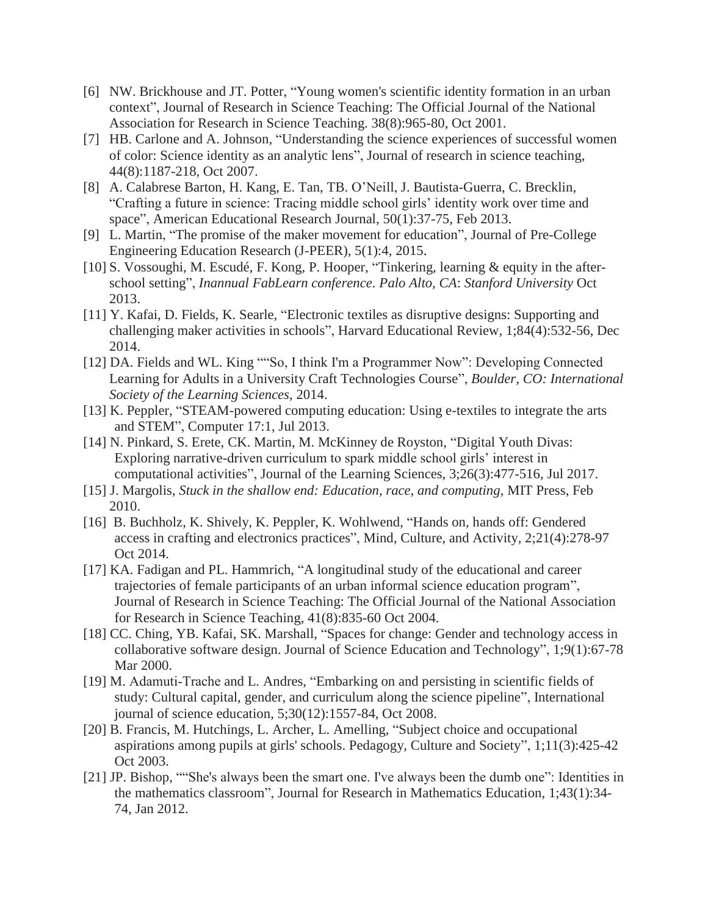- [6] NW. Brickhouse and JT. Potter, "Young women's scientific identity formation in an urban context", Journal of Research in Science Teaching: The Official Journal of the National Association for Research in Science Teaching. 38(8):965-80, Oct 2001.
- [7] HB. Carlone and A. Johnson, "Understanding the science experiences of successful women of color: Science identity as an analytic lens", Journal of research in science teaching, 44(8):1187-218, Oct 2007.
- [8] A. Calabrese Barton, H. Kang, E. Tan, TB. O'Neill, J. Bautista-Guerra, C. Brecklin, "Crafting a future in science: Tracing middle school girls' identity work over time and space", American Educational Research Journal, 50(1):37-75, Feb 2013.
- [9] L. Martin, "The promise of the maker movement for education", Journal of Pre-College Engineering Education Research (J-PEER), 5(1):4, 2015.
- [10] S. Vossoughi, M. Escudé, F. Kong, P. Hooper, "Tinkering, learning & equity in the afterschool setting", *Inannual FabLearn conference. Palo Alto, CA*: *Stanford University* Oct 2013.
- [11] Y. Kafai, D. Fields, K. Searle, "Electronic textiles as disruptive designs: Supporting and challenging maker activities in schools", Harvard Educational Review, 1;84(4):532-56, Dec 2014.
- [12] DA. Fields and WL. King ""So, I think I'm a Programmer Now": Developing Connected Learning for Adults in a University Craft Technologies Course", *Boulder, CO: International Society of the Learning Sciences*, 2014.
- [13] K. Peppler, "STEAM-powered computing education: Using e-textiles to integrate the arts and STEM", Computer 17:1, Jul 2013.
- [14] N. Pinkard, S. Erete, CK. Martin, M. McKinney de Royston, "Digital Youth Divas: Exploring narrative-driven curriculum to spark middle school girls' interest in computational activities", Journal of the Learning Sciences, 3;26(3):477-516, Jul 2017.
- [15] J. Margolis, *Stuck in the shallow end: Education, race, and computing*, MIT Press, Feb 2010.
- [16] B. Buchholz, K. Shively, K. Peppler, K. Wohlwend, "Hands on, hands off: Gendered access in crafting and electronics practices", Mind, Culture, and Activity, 2;21(4):278-97 Oct 2014.
- [17] KA. Fadigan and PL. Hammrich, "A longitudinal study of the educational and career trajectories of female participants of an urban informal science education program", Journal of Research in Science Teaching: The Official Journal of the National Association for Research in Science Teaching, 41(8):835-60 Oct 2004.
- [18] CC. Ching, YB. Kafai, SK. Marshall, "Spaces for change: Gender and technology access in collaborative software design. Journal of Science Education and Technology", 1;9(1):67-78 Mar 2000.
- [19] M. Adamuti-Trache and L. Andres, "Embarking on and persisting in scientific fields of study: Cultural capital, gender, and curriculum along the science pipeline", International journal of science education, 5;30(12):1557-84, Oct 2008.
- [20] B. Francis, M. Hutchings, L. Archer, L. Amelling, "Subject choice and occupational aspirations among pupils at girls' schools. Pedagogy, Culture and Society", 1;11(3):425-42 Oct 2003.
- [21] JP. Bishop, ""She's always been the smart one. I've always been the dumb one": Identities in the mathematics classroom", Journal for Research in Mathematics Education, 1;43(1):34- 74, Jan 2012.